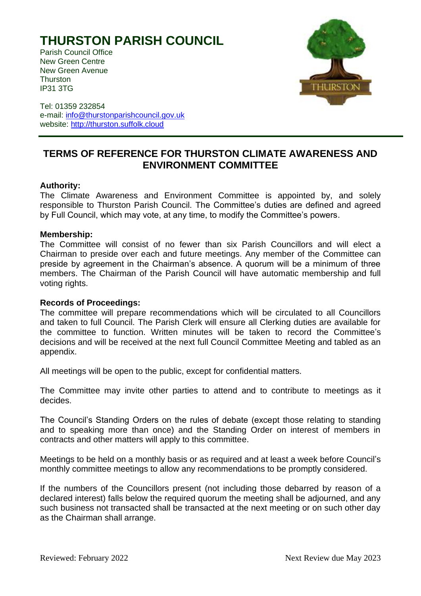# **THURSTON PARISH COUNCIL**

Parish Council Office New Green Centre New Green Avenue **Thurston** IP31 3TG



Tel: 01359 232854 e-mail: [info@thurstonparishcouncil.gov.uk](mailto:info@thurstonparishcouncil.gov.uk) website: [http://thurston.suffolk.cloud](http://thurston.suffolk.cloud/)

## **TERMS OF REFERENCE FOR THURSTON CLIMATE AWARENESS AND ENVIRONMENT COMMITTEE**

### **Authority:**

The Climate Awareness and Environment Committee is appointed by, and solely responsible to Thurston Parish Council. The Committee's duties are defined and agreed by Full Council, which may vote, at any time, to modify the Committee's powers.

#### **Membership:**

The Committee will consist of no fewer than six Parish Councillors and will elect a Chairman to preside over each and future meetings. Any member of the Committee can preside by agreement in the Chairman's absence. A quorum will be a minimum of three members. The Chairman of the Parish Council will have automatic membership and full voting rights.

#### **Records of Proceedings:**

The committee will prepare recommendations which will be circulated to all Councillors and taken to full Council. The Parish Clerk will ensure all Clerking duties are available for the committee to function. Written minutes will be taken to record the Committee's decisions and will be received at the next full Council Committee Meeting and tabled as an appendix.

All meetings will be open to the public, except for confidential matters.

The Committee may invite other parties to attend and to contribute to meetings as it decides.

The Council's Standing Orders on the rules of debate (except those relating to standing and to speaking more than once) and the Standing Order on interest of members in contracts and other matters will apply to this committee.

Meetings to be held on a monthly basis or as required and at least a week before Council's monthly committee meetings to allow any recommendations to be promptly considered.

If the numbers of the Councillors present (not including those debarred by reason of a declared interest) falls below the required quorum the meeting shall be adjourned, and any such business not transacted shall be transacted at the next meeting or on such other day as the Chairman shall arrange.